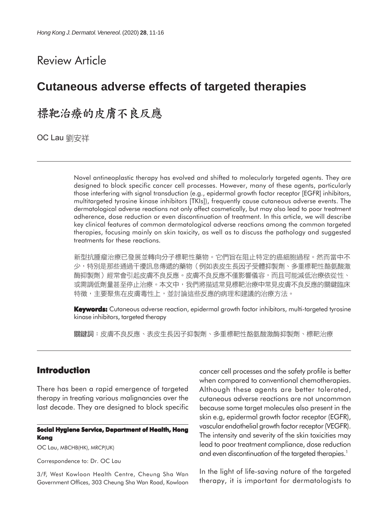# Review Article

# **Cutaneous adverse effects of targeted therapies**

# 標靶治療的皮膚不良反應

OC Lau 劉安祥

Novel antineoplastic therapy has evolved and shifted to molecularly targeted agents. They are designed to block specific cancer cell processes. However, many of these agents, particularly those interfering with signal transduction (e.g., epidermal growth factor receptor [EGFR] inhibitors, multitargeted tyrosine kinase inhibitors [TKIs]), frequently cause cutaneous adverse events. The dermatological adverse reactions not only affect cosmetically, but may also lead to poor treatment adherence, dose reduction or even discontinuation of treatment. In this article, we will describe key clinical features of common dermatological adverse reactions among the common targeted therapies, focusing mainly on skin toxicity, as well as to discuss the pathology and suggested treatments for these reactions.

新型抗腫瘤治療已發展並轉向分子標靶性藥物。它們旨在阻止特定的癌細胞過程。然而當中不 少,特別是那些通過干擾訊息傳遞的藥物(例如表皮生長因子受體抑製劑、多重標靶性酪氨酸激 酶抑製劑)經常會引起皮膚不良反應。皮膚不良反應不僅影響儀容,而且可能減低治療依從性、 或需調低劑量甚至停止治療。本文中,我們將描述常見標靶治療中常見皮膚不良反應的關鍵臨床 特徵,主要聚焦在皮膚毒性上,並討論這些反應的病理和建議的治療方法。

**Keywords:** Cutaneous adverse reaction, epidermal growth factor inhibitors, multi-targeted tyrosine kinase inhibitors, targeted therapy

關鍵詞:皮膚不良反應、表皮生長因子抑製劑、多重標靶性酪氨酸激酶抑製劑、標靶治療

# **Introduction**

There has been a rapid emergence of targeted therapy in treating various malignancies over the last decade. They are designed to block specific

#### **Social Hygiene Service, Department of Health, Hong Kong**

OC Lau, MBCHB(HK), MRCP(UK)

Correspondence to: Dr. OC Lau

3/F, West Kowloon Health Centre, Cheung Sha Wan Government Offices, 303 Cheung Sha Wan Road, Kowloon cancer cell processes and the safety profile is better when compared to conventional chemotherapies. Although these agents are better tolerated, cutaneous adverse reactions are not uncommon because some target molecules also present in the skin e.g, epidermal growth factor receptor (EGFR), vascular endothelial growth factor receptor (VEGFR). The intensity and severity of the skin toxicities may lead to poor treatment compliance, dose reduction and even discontinuation of the targeted therapies.<sup>1</sup>

In the light of life-saving nature of the targeted therapy, it is important for dermatologists to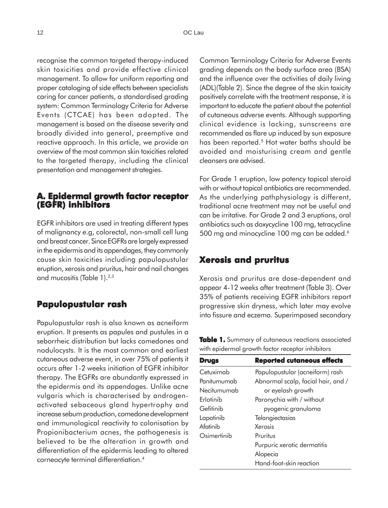recognise the common targeted therapy-induced skin toxicities and provide effective clinical management. To allow for uniform reporting and proper cataloging of side effects between specialists caring for cancer patients, a standardised grading system: Common Terminology Criteria for Adverse Events (CTCAE) has been adopted. The management is based on the disease severity and broadly divided into general, preemptive and reactive approach. In this article, we provide an overview of the most common skin toxicities related to the targeted therapy, including the clinical presentation and management strategies.

### **A. Epidermal growth factor receptor (EGFR) inhibitors**

EGFR inhibitors are used in treating different types of malignancy e.g, colorectal, non-small cell lung and breast cancer. Since EGFRs are largely expressed in the epidermis and its appendages, they commonly cause skin toxicities including papulopustular eruption, xerosis and pruritus, hair and nail changes and mucositis (Table 1).<sup>2,3</sup>

### **Papulopustular rash**

Papulopustular rash is also known as acneiform eruption. It presents as papules and pustules in a seborrheic distribution but lacks comedones and nodulocysts. It is the most common and earliest cutaneous adverse event, in over 75% of patients it occurs after 1-2 weeks initiation of EGFR inhibitor therapy. The EGFRs are abundantly expressed in the epidermis and its appendages. Unlike acne vulgaris which is characterised by androgenactivated sebaceous gland hypertrophy and increase sebum production, comedone development and immunological reactivity to colonisation by Propionibacterium acnes, the pathogenesis is believed to be the alteration in growth and differentiation of the epidermis leading to altered corneocyte terminal differentiation.4

Common Terminology Criteria for Adverse Events grading depends on the body surface area (BSA) and the influence over the activities of daily living (ADL)(Table 2). Since the degree of the skin toxicity positively correlate with the treatment response, it is important to educate the patient about the potential of cutaneous adverse events. Although supporting clinical evidence is lacking, sunscreens are recommended as flare up induced by sun exposure has been reported.<sup>5</sup> Hot water baths should be avoided and moisturising cream and gentle cleansers are advised.

For Grade 1 eruption, low potency topical steroid with or without topical antibiotics are recommended. As the underlying pathphysiology is different, traditional acne treatment may not be useful and can be irritative. For Grade 2 and 3 eruptions, oral antibiotics such as doxycycline 100 mg, tetracycline 500 mg and minocycline 100 mg can be added.<sup>6</sup>

# **Xerosis and pruritus**

Xerosis and pruritus are dose-dependent and appear 4-12 weeks after treatment (Table 3). Over 35% of patients receiving EGFR inhibitors report progressive skin dryness, which later may evolve into fissure and eczema. Superimposed secondary

**Table 1.** Summary of cutaneous reactions associated with epidermal growth factor receptor inhibitors

| <b>Drugs</b> | <b>Reported cutaneous effects</b>  |  |
|--------------|------------------------------------|--|
| Cetuximab    | Papulopustular (acneiform) rash    |  |
| Panitumumab  | Abnormal scalp, facial hair, and / |  |
| Necitumumab  | or eyelash growth                  |  |
| Erlotinib    | Paronychia with / without          |  |
| Gefitinib    | pyogenic granuloma                 |  |
| Lapatinib    | Telangiectasias                    |  |
| Afatinib     | Xerosis                            |  |
| Osimertinib  | Pruritus                           |  |
|              | Purpuric xerotic dermatitis        |  |
|              | Alopecia                           |  |
|              | Hand-foot-skin reaction            |  |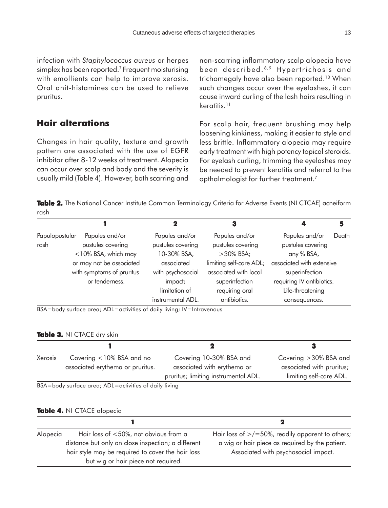infection with *Staphylococcus aureus* or herpes simplex has been reported.<sup>7</sup> Frequent moisturising with emollients can help to improve xerosis. Oral anit-histamines can be used to relieve pruritus.

# **Hair alterations**

Changes in hair quality, texture and growth pattern are associated with the use of EGFR inhibitor after 8-12 weeks of treatment. Alopecia can occur over scalp and body and the severity is usually mild (Table 4). However, both scarring and non-scarring inflammatory scalp alopecia have been described. 8,9 Hypertrichosis and trichomegaly have also been reported.<sup>10</sup> When such changes occur over the eyelashes, it can cause inward curling of the lash hairs resulting in keratitis.<sup>11</sup>

For scalp hair, frequent brushing may help loosening kinkiness, making it easier to style and less brittle. Inflammatory alopecia may require early treatment with high potency topical steroids. For eyelash curling, trimming the eyelashes may be needed to prevent keratitis and referral to the opthalmologist for further treatment.<sup>7</sup>

Table 2. The National Cancer Institute Common Terminology Criteria for Adverse Events (NI CTCAE) acneiform rash

|                                  |                           |                   | 3                       |                           | 5     |
|----------------------------------|---------------------------|-------------------|-------------------------|---------------------------|-------|
| Papules and/or<br>Papulopustular |                           | Papules and/or    | Papules and/or          | Papules and/or            | Death |
| rash                             | pustules covering         | pustules covering | pustules covering       | pustules covering         |       |
|                                  | <10% BSA, which may       | 10-30% BSA,       | $>30\%$ BSA;            | any % BSA,                |       |
|                                  | or may not be associated  | associated        | limiting self-care ADL; | associated with extensive |       |
|                                  | with symptoms of pruritus | with psychosocial | associated with local   | superinfection            |       |
|                                  | or tenderness.            | impact;           | superinfection          | requiring IV antibiotics. |       |
|                                  |                           | limitation of     | requiring oral          | Life-threatening          |       |
|                                  |                           | instrumental ADL. | antibiotics.            | consequences.             |       |

BSA=body surface area; ADL=activities of daily living; IV=Intravenous

#### **Table 3. NI CTACE dry skin**

| Covering <10% BSA and no         | Covering 10-30% BSA and              | Covering > 30% BSA and    |
|----------------------------------|--------------------------------------|---------------------------|
| associated erythema or pruritus. | associated with erythema or          | associated with pruritus; |
|                                  | pruritus; limiting instrumental ADL. | limiting self-care ADL.   |
|                                  |                                      |                           |

BSA=body surface area; ADL=activities of daily living

#### **Table 4. NI CTACE alopecia**

| Alopecia | Hair loss of <50%, not obvious from a              | Hair loss of $\ge$ /=50%, readily apparent to others; |
|----------|----------------------------------------------------|-------------------------------------------------------|
|          | distance but only on close inspection; a different | a wig or hair piece as required by the patient.       |
|          | hair style may be required to cover the hair loss  | Associated with psychosocial impact.                  |
|          | but wig or hair piece not required.                |                                                       |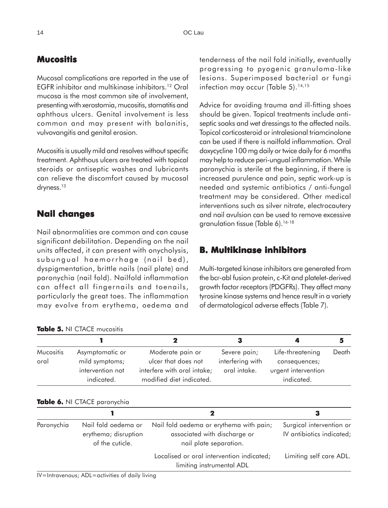# **Mucositis**

Mucosal complications are reported in the use of EGFR inhibitor and multikinase inhibitors.12 Oral mucosa is the most common site of involvement, presenting with xerostomia, mucositis, stomatitis and aphthous ulcers. Genital involvement is less common and may present with balanitis, vulvovangitis and genital erosion.

Mucositis is usually mild and resolves without specific treatment. Aphthous ulcers are treated with topical steroids or antiseptic washes and lubricants can relieve the discomfort caused by mucosal dryness.<sup>13</sup>

# **Nail changes**

Nail abnormalities are common and can cause significant debilitation. Depending on the nail units affected, it can present with onycholysis, subungual haemorrhage (nail bed), dyspigmentation, brittle nails (nail plate) and paronychia (nail fold). Nailfold inflammation can affect all fingernails and toenails, particularly the great toes. The inflammation may evolve from erythema, oedema and

**Table 5. able**  NI CTACE mucositis

tenderness of the nail fold initially, eventually progressing to pyogenic granuloma-like lesions. Superimposed bacterial or fungi infection may occur (Table 5).<sup>14,15</sup>

Advice for avoiding trauma and ill-fitting shoes should be given. Topical treatments include antiseptic soaks and wet dressings to the affected nails. Topical corticosteroid or intralesional triamcinolone can be used if there is nailfold inflammation. Oral doxycycline 100 mg daily or twice daily for 6 months may help to reduce peri-ungual inflammation. While paronychia is sterile at the beginning, if there is increased purulence and pain, septic work-up is needed and systemic antibiotics / anti-fungal treatment may be considered. Other medical interventions such as silver nitrate, electrocautery and nail avulsion can be used to remove excessive granulation tissue (Table 6).16-18

# **B. Multikinase inhibitors**

Multi-targeted kinase inhibitors are generated from the bcr-abl fusion protein, c-Kit and platelet-derived growth factor receptors (PDGFRs). They affect many tyrosine kinase systems and hence result in a variety of dermatological adverse effects (Table 7).

| <b>Mucositis</b><br>oral | Asymptomatic or<br>mild symptoms;<br>intervention not<br>indicated. | Moderate pain or<br>ulcer that does not<br>interfere with oral intake;<br>modified diet indicated. | Severe pain;<br>interfering with<br>oral intake. | Life-threatening<br>consequences;<br>urgent intervention<br>indicated. | Death |
|--------------------------|---------------------------------------------------------------------|----------------------------------------------------------------------------------------------------|--------------------------------------------------|------------------------------------------------------------------------|-------|

#### **Table 6.** NI CTACE paronychia

|            |                                                                |                                                                                                   | з                                                     |
|------------|----------------------------------------------------------------|---------------------------------------------------------------------------------------------------|-------------------------------------------------------|
| Paronychia | Nail fold oedema or<br>erythema; disruption<br>of the cuticle. | Nail fold oedema or erythema with pain;<br>associated with discharge or<br>nail plate separation. | Surgical intervention or<br>IV antibiotics indicated; |
|            |                                                                | Localised or oral intervention indicated;<br>limiting instrumental ADL                            | Limiting self care ADL.                               |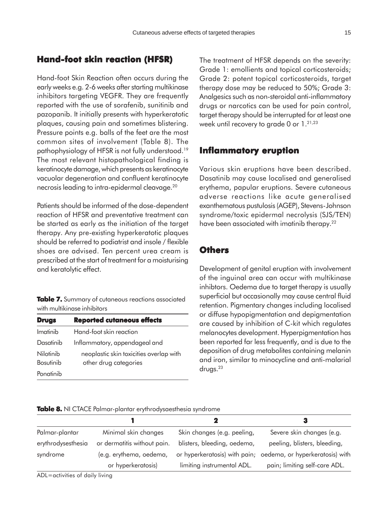### **Hand-foot skin reaction (HFSR) Hand-foot skin (HFSR)**

Hand-foot Skin Reaction often occurs during the early weeks e.g. 2-6 weeks after starting multikinase inhibitors targeting VEGFR. They are frequently reported with the use of sorafenib, sunitinib and pazopanib. It initially presents with hyperkeratotic plaques, causing pain and sometimes blistering. Pressure points e.g. balls of the feet are the most common sites of involvement (Table 8). The pathophysiology of HFSR is not fully understood.19 The most relevant histopathological finding is keratinocyte damage, which presents as keratinocyte vacuolar degeneration and confluent keratinocyte necrosis leading to intra-epidermal cleavage.20

Patients should be informed of the dose-dependent reaction of HFSR and preventative treatment can be started as early as the initiation of the target therapy. Any pre-existing hyperkeratotic plaques should be referred to podiatrist and insole / flexible shoes are advised. Ten percent urea cream is prescribed at the start of treatment for a moisturising and keratolytic effect.

**Table 7.** Summary of cutaneous reactions associated with multikinase inhibitors

| <b>Drugs</b>     | <b>Reported cutaneous effects</b>       |
|------------------|-----------------------------------------|
| Imatinih         | Hand-foot skin reaction                 |
| Dasatinib        | Inflammatory, appendageal and           |
| Nilotinib        | neoplastic skin toxicities overlap with |
| <b>Bosutinib</b> | other drug categories                   |
| Ponatinib        |                                         |

The treatment of HFSR depends on the severity: Grade 1: emollients and topical corticosteroids; Grade 2: potent topical corticosteroids, target therapy dose may be reduced to 50%; Grade 3: Analgesics such as non-steroidal anti-inflammatory drugs or narcotics can be used for pain control, target therapy should be interrupted for at least one week until recovery to grade 0 or 1.<sup>21,23</sup>

# **Inflammatory eruption**

Various skin eruptions have been described. Dasatinib may cause localised and generalised erythema, papular eruptions. Severe cutaneous adverse reactions like acute generalised exanthematous pustulosis (AGEP), Stevens-Johnson syndrome/toxic epidermal necrolysis (SJS/TEN) have been associated with imatinib therapy.<sup>22</sup>

### **Others**

Development of genital eruption with involvement of the inguinal area can occur with multikinase inhibtors. Oedema due to target therapy is usually superficial but occasionally may cause central fluid retention. Pigmentary changes including localised or diffuse hypopigmentation and depigmentation are caused by inhibition of C-kit which regulates melanocytes development. Hyperpigmentation has been reported far less frequently, and is due to the deposition of drug metabolites containing melanin and iron, similar to minocycline and anti-malarial drugs.23

| <b>Table 8.</b> NI CTACE Palmar-plantar erythrodysaesthesia syndrome |  |  |  |
|----------------------------------------------------------------------|--|--|--|
|----------------------------------------------------------------------|--|--|--|

|                    |                             |                             | З                                                             |
|--------------------|-----------------------------|-----------------------------|---------------------------------------------------------------|
| Palmar-plantar     | Minimal skin changes        | Skin changes (e.g. peeling, | Severe skin changes (e.g.                                     |
| erythrodysesthesia | or dermatitis without pain. | blisters, bleeding, oedema, | peeling, blisters, bleeding,                                  |
| syndrome           | (e.g. erythema, oedema,     |                             | or hyperkeratosis) with pain; oedema, or hyperkeratosis) with |
|                    | or hyperkeratosis)          | limiting instrumental ADL.  | pain; limiting self-care ADL.                                 |

ADL=activities of daily living